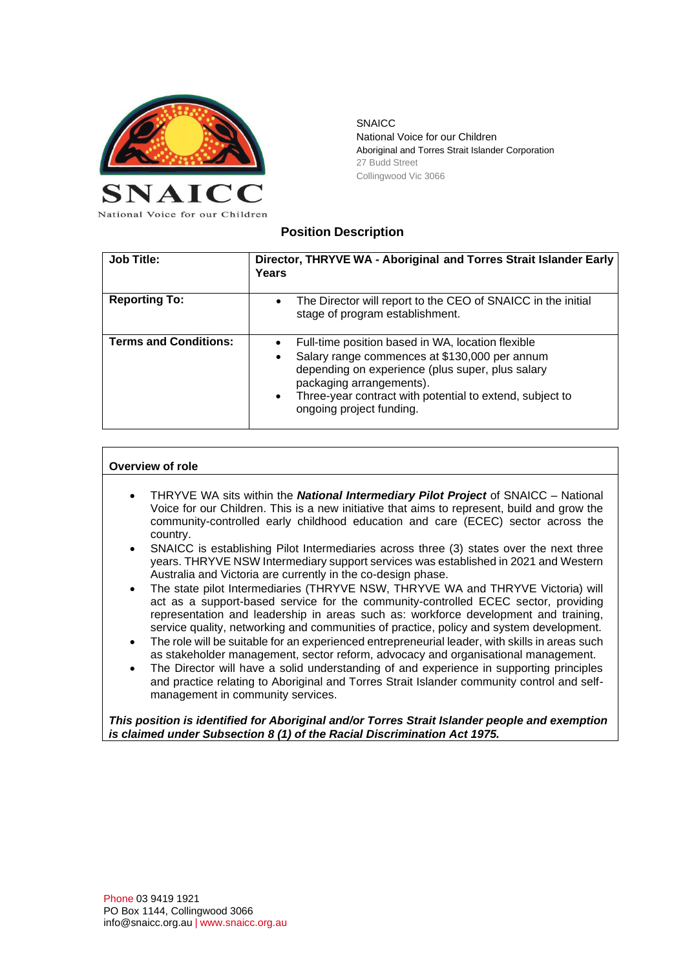

**SNAICC** National Voice for our Children Aboriginal and Torres Strait Islander Corporation 27 Budd Street Collingwood Vic 3066

# **Position Description**

| <b>Job Title:</b>            | Director, THRYVE WA - Aboriginal and Torres Strait Islander Early<br>Years                                                                                                                                                                                                                                        |
|------------------------------|-------------------------------------------------------------------------------------------------------------------------------------------------------------------------------------------------------------------------------------------------------------------------------------------------------------------|
| <b>Reporting To:</b>         | The Director will report to the CEO of SNAICC in the initial<br>$\bullet$<br>stage of program establishment.                                                                                                                                                                                                      |
| <b>Terms and Conditions:</b> | Full-time position based in WA, location flexible<br>$\bullet$<br>Salary range commences at \$130,000 per annum<br>$\bullet$<br>depending on experience (plus super, plus salary<br>packaging arrangements).<br>Three-year contract with potential to extend, subject to<br>$\bullet$<br>ongoing project funding. |

## **Overview of role**

- THRYVE WA sits within the *National Intermediary Pilot Project* of SNAICC National Voice for our Children. This is a new initiative that aims to represent, build and grow the community-controlled early childhood education and care (ECEC) sector across the country.
- SNAICC is establishing Pilot Intermediaries across three (3) states over the next three years. THRYVE NSW Intermediary support services was established in 2021 and Western Australia and Victoria are currently in the co-design phase.
- The state pilot Intermediaries (THRYVE NSW, THRYVE WA and THRYVE Victoria) will act as a support-based service for the community-controlled ECEC sector, providing representation and leadership in areas such as: workforce development and training, service quality, networking and communities of practice, policy and system development.
- The role will be suitable for an experienced entrepreneurial leader, with skills in areas such as stakeholder management, sector reform, advocacy and organisational management.
- The Director will have a solid understanding of and experience in supporting principles and practice relating to Aboriginal and Torres Strait Islander community control and selfmanagement in community services.

#### *This position is identified for Aboriginal and/or Torres Strait Islander people and exemption is claimed under Subsection 8 (1) of the Racial Discrimination Act 1975.*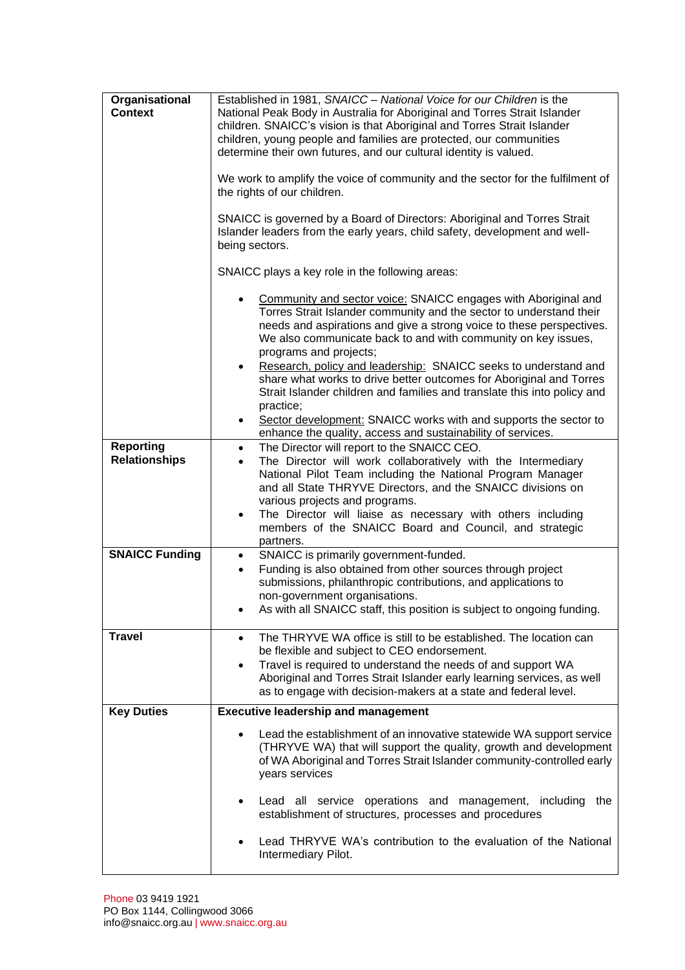| Organisational<br><b>Context</b>         | Established in 1981, SNAICC - National Voice for our Children is the<br>National Peak Body in Australia for Aboriginal and Torres Strait Islander<br>children. SNAICC's vision is that Aboriginal and Torres Strait Islander<br>children, young people and families are protected, our communities<br>determine their own futures, and our cultural identity is valued.<br>We work to amplify the voice of community and the sector for the fulfilment of<br>the rights of our children.<br>SNAICC is governed by a Board of Directors: Aboriginal and Torres Strait<br>Islander leaders from the early years, child safety, development and well- |  |
|------------------------------------------|----------------------------------------------------------------------------------------------------------------------------------------------------------------------------------------------------------------------------------------------------------------------------------------------------------------------------------------------------------------------------------------------------------------------------------------------------------------------------------------------------------------------------------------------------------------------------------------------------------------------------------------------------|--|
|                                          | being sectors.                                                                                                                                                                                                                                                                                                                                                                                                                                                                                                                                                                                                                                     |  |
|                                          | SNAICC plays a key role in the following areas:                                                                                                                                                                                                                                                                                                                                                                                                                                                                                                                                                                                                    |  |
|                                          | Community and sector voice: SNAICC engages with Aboriginal and<br>Torres Strait Islander community and the sector to understand their<br>needs and aspirations and give a strong voice to these perspectives.<br>We also communicate back to and with community on key issues,<br>programs and projects;                                                                                                                                                                                                                                                                                                                                           |  |
|                                          | Research, policy and leadership: SNAICC seeks to understand and<br>$\bullet$<br>share what works to drive better outcomes for Aboriginal and Torres<br>Strait Islander children and families and translate this into policy and<br>practice;                                                                                                                                                                                                                                                                                                                                                                                                       |  |
|                                          | Sector development: SNAICC works with and supports the sector to<br>$\bullet$<br>enhance the quality, access and sustainability of services.                                                                                                                                                                                                                                                                                                                                                                                                                                                                                                       |  |
| <b>Reporting</b><br><b>Relationships</b> | The Director will report to the SNAICC CEO.<br>$\bullet$<br>The Director will work collaboratively with the Intermediary<br>$\bullet$<br>National Pilot Team including the National Program Manager<br>and all State THRYVE Directors, and the SNAICC divisions on<br>various projects and programs.<br>The Director will liaise as necessary with others including<br>٠<br>members of the SNAICC Board and Council, and strategic<br>partners.                                                                                                                                                                                                    |  |
| <b>SNAICC Funding</b>                    | SNAICC is primarily government-funded.<br>$\bullet$<br>Funding is also obtained from other sources through project<br>$\bullet$<br>submissions, philanthropic contributions, and applications to<br>non-government organisations.<br>As with all SNAICC staff, this position is subject to ongoing funding.                                                                                                                                                                                                                                                                                                                                        |  |
| <b>Travel</b>                            | The THRYVE WA office is still to be established. The location can<br>$\bullet$<br>be flexible and subject to CEO endorsement.<br>Travel is required to understand the needs of and support WA<br>٠<br>Aboriginal and Torres Strait Islander early learning services, as well<br>as to engage with decision-makers at a state and federal level.                                                                                                                                                                                                                                                                                                    |  |
| <b>Key Duties</b>                        | <b>Executive leadership and management</b>                                                                                                                                                                                                                                                                                                                                                                                                                                                                                                                                                                                                         |  |
|                                          | Lead the establishment of an innovative statewide WA support service<br>(THRYVE WA) that will support the quality, growth and development<br>of WA Aboriginal and Torres Strait Islander community-controlled early<br>years services                                                                                                                                                                                                                                                                                                                                                                                                              |  |
|                                          | Lead all service operations and management, including<br>the<br>establishment of structures, processes and procedures                                                                                                                                                                                                                                                                                                                                                                                                                                                                                                                              |  |
|                                          | Lead THRYVE WA's contribution to the evaluation of the National<br>Intermediary Pilot.                                                                                                                                                                                                                                                                                                                                                                                                                                                                                                                                                             |  |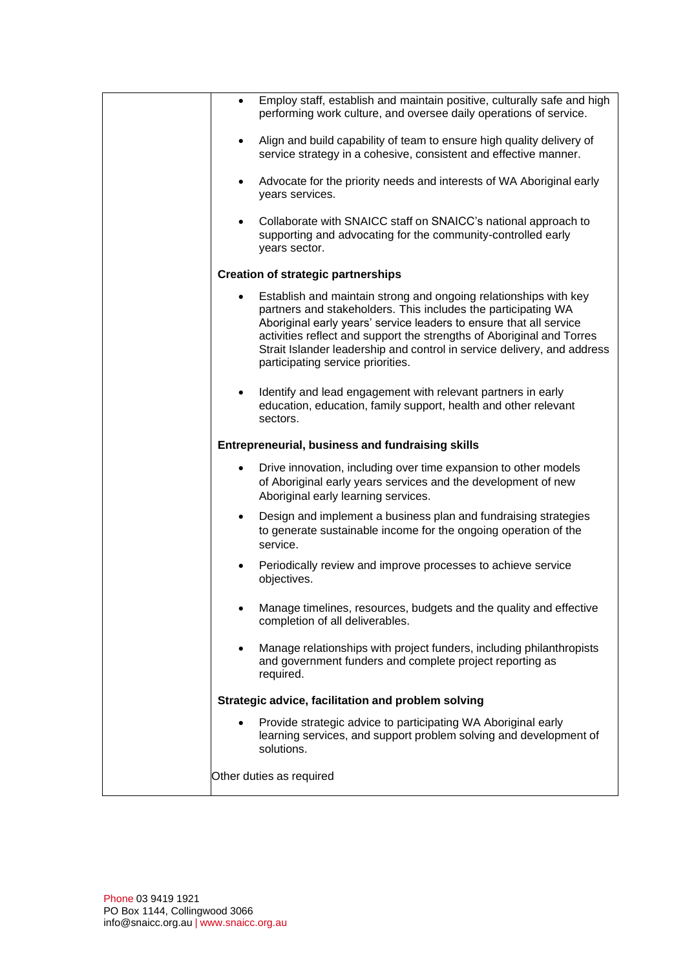| $\bullet$ | Employ staff, establish and maintain positive, culturally safe and high<br>performing work culture, and oversee daily operations of service.                                                                                                                                                                                                                                                     |
|-----------|--------------------------------------------------------------------------------------------------------------------------------------------------------------------------------------------------------------------------------------------------------------------------------------------------------------------------------------------------------------------------------------------------|
| $\bullet$ | Align and build capability of team to ensure high quality delivery of<br>service strategy in a cohesive, consistent and effective manner.                                                                                                                                                                                                                                                        |
| $\bullet$ | Advocate for the priority needs and interests of WA Aboriginal early<br>years services.                                                                                                                                                                                                                                                                                                          |
|           | Collaborate with SNAICC staff on SNAICC's national approach to<br>supporting and advocating for the community-controlled early<br>years sector.                                                                                                                                                                                                                                                  |
|           | <b>Creation of strategic partnerships</b>                                                                                                                                                                                                                                                                                                                                                        |
|           | Establish and maintain strong and ongoing relationships with key<br>partners and stakeholders. This includes the participating WA<br>Aboriginal early years' service leaders to ensure that all service<br>activities reflect and support the strengths of Aboriginal and Torres<br>Strait Islander leadership and control in service delivery, and address<br>participating service priorities. |
|           | Identify and lead engagement with relevant partners in early<br>education, education, family support, health and other relevant<br>sectors.                                                                                                                                                                                                                                                      |
|           | <b>Entrepreneurial, business and fundraising skills</b>                                                                                                                                                                                                                                                                                                                                          |
| $\bullet$ | Drive innovation, including over time expansion to other models<br>of Aboriginal early years services and the development of new<br>Aboriginal early learning services.                                                                                                                                                                                                                          |
| $\bullet$ | Design and implement a business plan and fundraising strategies<br>to generate sustainable income for the ongoing operation of the<br>service.                                                                                                                                                                                                                                                   |
|           | Periodically review and improve processes to achieve service<br>objectives.                                                                                                                                                                                                                                                                                                                      |
|           | Manage timelines, resources, budgets and the quality and effective<br>completion of all deliverables.                                                                                                                                                                                                                                                                                            |
|           | Manage relationships with project funders, including philanthropists<br>and government funders and complete project reporting as<br>required.                                                                                                                                                                                                                                                    |
|           | Strategic advice, facilitation and problem solving                                                                                                                                                                                                                                                                                                                                               |
|           | Provide strategic advice to participating WA Aboriginal early<br>learning services, and support problem solving and development of<br>solutions.                                                                                                                                                                                                                                                 |
|           | Other duties as required                                                                                                                                                                                                                                                                                                                                                                         |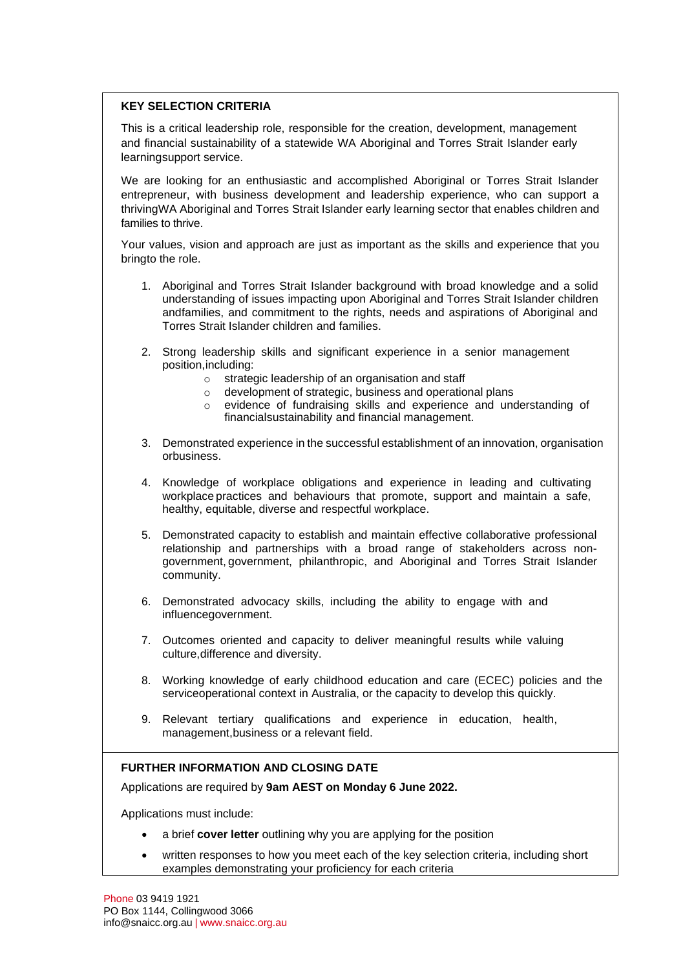## **KEY SELECTION CRITERIA**

This is a critical leadership role, responsible for the creation, development, management and financial sustainability of a statewide WA Aboriginal and Torres Strait Islander early learningsupport service.

We are looking for an enthusiastic and accomplished Aboriginal or Torres Strait Islander entrepreneur, with business development and leadership experience, who can support a thrivingWA Aboriginal and Torres Strait Islander early learning sector that enables children and families to thrive.

Your values, vision and approach are just as important as the skills and experience that you bringto the role.

- 1. Aboriginal and Torres Strait Islander background with broad knowledge and a solid understanding of issues impacting upon Aboriginal and Torres Strait Islander children andfamilies, and commitment to the rights, needs and aspirations of Aboriginal and Torres Strait Islander children and families.
- 2. Strong leadership skills and significant experience in a senior management position,including:
	- o strategic leadership of an organisation and staff
	- o development of strategic, business and operational plans
	- o evidence of fundraising skills and experience and understanding of financialsustainability and financial management.
- 3. Demonstrated experience in the successful establishment of an innovation, organisation orbusiness.
- 4. Knowledge of workplace obligations and experience in leading and cultivating workplace practices and behaviours that promote, support and maintain a safe, healthy, equitable, diverse and respectful workplace.
- 5. Demonstrated capacity to establish and maintain effective collaborative professional relationship and partnerships with a broad range of stakeholders across nongovernment, government, philanthropic, and Aboriginal and Torres Strait Islander community.
- 6. Demonstrated advocacy skills, including the ability to engage with and influencegovernment.
- 7. Outcomes oriented and capacity to deliver meaningful results while valuing culture,difference and diversity.
- 8. Working knowledge of early childhood education and care (ECEC) policies and the serviceoperational context in Australia, or the capacity to develop this quickly.
- 9. Relevant tertiary qualifications and experience in education, health, management,business or a relevant field.

## **FURTHER INFORMATION AND CLOSING DATE**

Applications are required by **9am AEST on Monday 6 June 2022.**

Applications must include:

- a brief **cover letter** outlining why you are applying for the position
- written responses to how you meet each of the key selection criteria, including short examples demonstrating your proficiency for each criteria